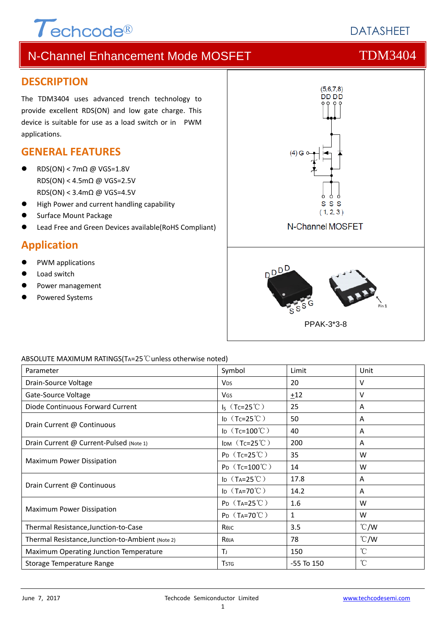# $\tau$ <sub>echcode®</sub>

# **DATASHEFT**

# N-Channel Enhancement Mode MOSFET TOM3404

### **DESCRIPTION**

The TDM3404 uses advanced trench technology to provide excellent RDS(ON) and low gate charge. This device is suitable for use as a load switch or in PWM applications.

### **GENERAL FEATURES**

- $RDS(ON) < 7m\Omega$  @ VGS=1.8V RDS(ON) < 4.5mΩ @ VGS=2.5V RDS(ON) < 3.4mΩ @ VGS=4.5V
- High Power and current handling capability
- Surface Mount Package
- Lead Free and Green Devices available(RoHS Compliant)

### **Application**

- PWM applications
- Load switch
- Power management
- Powered Systems



### ABSOLUTE MAXIMUM RATINGS(TA=25℃unless otherwise noted)

| Parameter                                        | Symbol                        | Limit          | Unit          |
|--------------------------------------------------|-------------------------------|----------------|---------------|
| Drain-Source Voltage                             | <b>V<sub>DS</sub></b>         | 20             | v             |
| Gate-Source Voltage                              | VGS                           | ±12            | v             |
| Diode Continuous Forward Current                 | $I_S$ (Tc=25°C)               | 25             | A             |
| Drain Current @ Continuous                       | ID $(Tc=25^{\circ}C)$         | 50             | A             |
|                                                  | ID $(Tc=100^{\circ}C)$        | 40             | A             |
| Drain Current @ Current-Pulsed (Note 1)          | $I$ DM $(Tc=25^{\circ}C)$     | 200            | A             |
|                                                  | $P_D$ (Tc=25°C)               | 35             | W             |
| <b>Maximum Power Dissipation</b>                 | $P_D$ (Tc=100°C)              | 14             | W             |
|                                                  | ID $(T_A=25^{\circ}\text{C})$ | 17.8           | A             |
| Drain Current @ Continuous                       | ID $(T_A=70^{\circ}C)$        | 14.2           | A             |
| <b>Maximum Power Dissipation</b>                 | $P_D$ (T <sub>A</sub> =25°C)  | 1.6            | W             |
|                                                  | $P_D$ (T <sub>A</sub> =70°C)  | $\mathbf{1}$   | W             |
| Thermal Resistance, Junction-to-Case             | Көлс                          | 3.5            | $\degree$ C/W |
| Thermal Resistance, Junction-to-Ambient (Note 2) | Reja                          | 78             | $\degree$ C/W |
| Maximum Operating Junction Temperature           | ΤJ                            | 150            | $^{\circ}$ C  |
| Storage Temperature Range                        | <b>T</b> stg                  | $-55$ To $150$ | °C            |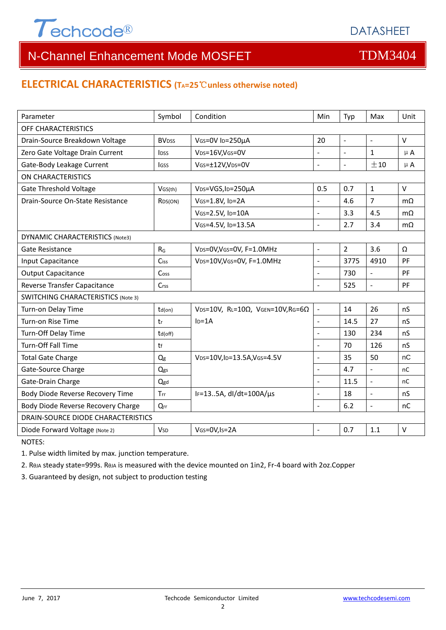

# N-Channel Enhancement Mode MOSFET THE TDM3404

### **ELECTRICAL CHARACTERISTICS (TA=25**℃**unless otherwise noted)**

| Parameter                                 | Symbol                   | Condition                                         | Min                      | Typ                      | Max                      | Unit      |  |  |
|-------------------------------------------|--------------------------|---------------------------------------------------|--------------------------|--------------------------|--------------------------|-----------|--|--|
| OFF CHARACTERISTICS                       |                          |                                                   |                          |                          |                          |           |  |  |
| Drain-Source Breakdown Voltage            | <b>BV</b> <sub>DSS</sub> | VGS=0V ID=250µA                                   |                          | $\overline{\phantom{a}}$ | $\omega$                 | V         |  |  |
| Zero Gate Voltage Drain Current           | <b>IDSS</b>              | VDS=16V,VGS=0V                                    | $\overline{a}$           | $\sim$                   | $\mathbf{1}$             | $\mu$ A   |  |  |
| Gate-Body Leakage Current                 | lgss                     | VGS=±12V,VDS=0V                                   | $\overline{a}$           | $\blacksquare$           | ±10                      | $\mu$ A   |  |  |
| ON CHARACTERISTICS                        |                          |                                                   |                          |                          |                          |           |  |  |
| <b>Gate Threshold Voltage</b>             | VGS(th)                  | V <sub>DS</sub> =VGS, I <sub>D</sub> =250µA       | 0.5                      | 0.7                      | $\mathbf{1}$             | $\vee$    |  |  |
| Drain-Source On-State Resistance          | R <sub>DS</sub> (ON)     | VGS=1.8V, ID=2A                                   | $\overline{a}$           | 4.6                      | $\overline{7}$           | $m\Omega$ |  |  |
|                                           |                          | VGS=2.5V, ID=10A                                  | $\blacksquare$           | 3.3                      | 4.5                      | $m\Omega$ |  |  |
|                                           |                          | VGS=4.5V, ID=13.5A                                | $\overline{a}$           | 2.7                      | 3.4                      | $m\Omega$ |  |  |
| <b>DYNAMIC CHARACTERISTICS (Note3)</b>    |                          |                                                   |                          |                          |                          |           |  |  |
| Gate Resistance                           | $R_G$                    | VDS=0V, VGS=0V, F=1.0MHz                          | $\overline{a}$           | $\overline{2}$           | 3.6                      | Ω         |  |  |
| Input Capacitance                         | Ciss                     | VDS=10V, VGS=0V, F=1.0MHz                         | $\overline{a}$           | 3775                     | 4910                     | PF        |  |  |
| <b>Output Capacitance</b>                 | Cos <sub>S</sub>         |                                                   | $\overline{\phantom{a}}$ | 730                      | $\Box$                   | PF        |  |  |
| Reverse Transfer Capacitance              | Crss                     |                                                   |                          | 525                      | ÷.                       | PF        |  |  |
| <b>SWITCHING CHARACTERISTICS (Note 3)</b> |                          |                                                   |                          |                          |                          |           |  |  |
| Turn-on Delay Time                        | $td($ on $)$             | VDS=10V, RL=10 $\Omega$ , VGEN=10V, RG=6 $\Omega$ |                          | 14                       | 26                       | nS        |  |  |
| Turn-on Rise Time                         | tr                       | $ID=1A$                                           | $\overline{a}$           | 14.5                     | 27                       | nS        |  |  |
| Turn-Off Delay Time                       | td(off)                  |                                                   |                          | 130                      | 234                      | nS        |  |  |
| <b>Turn-Off Fall Time</b>                 | tf                       |                                                   | $\overline{a}$           | 70                       | 126                      | nS        |  |  |
| <b>Total Gate Charge</b>                  | Q <sub>g</sub>           | VDS=10V, ID=13.5A, VGS=4.5V                       | $\overline{a}$           | 35                       | 50                       | nC        |  |  |
| Gate-Source Charge                        | Qgs                      |                                                   | $\overline{a}$           | 4.7                      | $\overline{\phantom{a}}$ | nC        |  |  |
| Gate-Drain Charge                         | Qgd                      |                                                   | $\overline{a}$           | 11.5                     | $\overline{a}$           | nC        |  |  |
| Body Diode Reverse Recovery Time          | Trr                      | IF=135A, dl/dt=100A/µs                            | $\overline{a}$           | 18                       | $\overline{a}$           | nS        |  |  |
| Body Diode Reverse Recovery Charge        | Qrr                      |                                                   |                          | 6.2                      | $\Box$                   | nC        |  |  |
| DRAIN-SOURCE DIODE CHARACTERISTICS        |                          |                                                   |                          |                          |                          |           |  |  |
| Diode Forward Voltage (Note 2)            | <b>V</b> sp              | VGS=0V, Is=2A                                     | $\blacksquare$           | 0.7                      | 1.1                      | $\vee$    |  |  |

NOTES:

1. Pulse width limited by max. junction temperature.

2. RθJA steady state=999s. RθJA is measured with the device mounted on 1in2, Fr‐4 board with 2oz.Copper

3. Guaranteed by design, not subject to production testing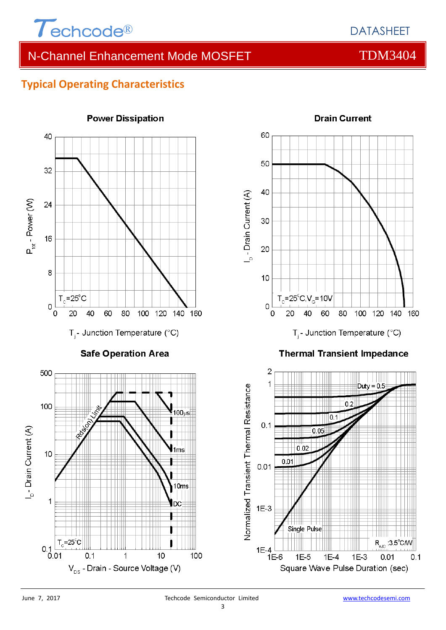

# N-Channel Enhancement Mode MOSFET TOM3404

### **Typical Operating Characteristics**

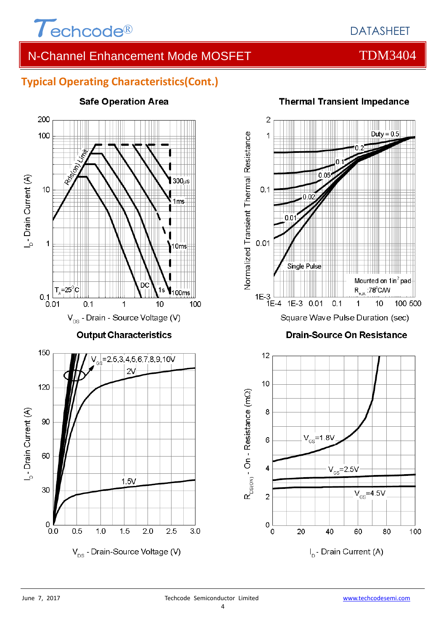

### N-Channel Enhancement Mode MOSFET THE TDM3404

### **Typical Operating Characteristics(Cont.)**



# **Safe Operation Area**



### **Thermal Transient Impedance**

**Drain-Source On Resistance** 

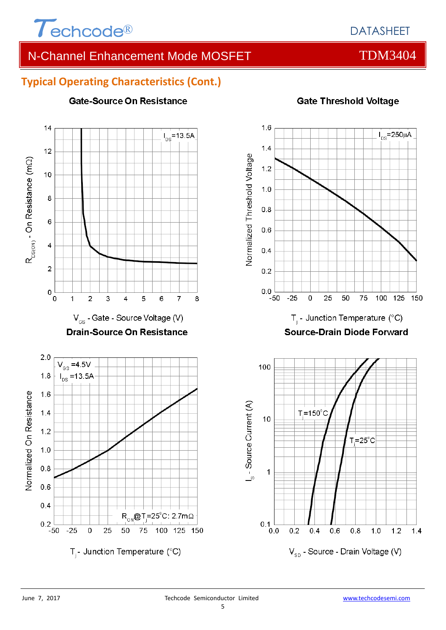

# N-Channel Enhancement Mode MOSFET THE TOM3404

### **Typical Operating Characteristics (Cont.)**



### **Gate-Source On Resistance**

**Gate Threshold Voltage**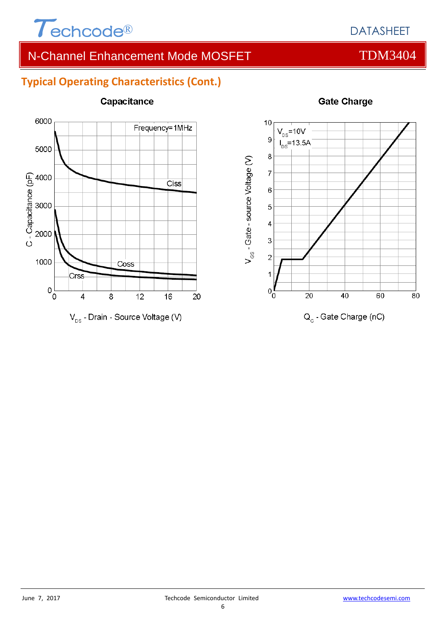

# N-Channel Enhancement Mode MOSFET THE TDM3404

## **Typical Operating Characteristics (Cont.)**



Capacitance



### **Gate Charge**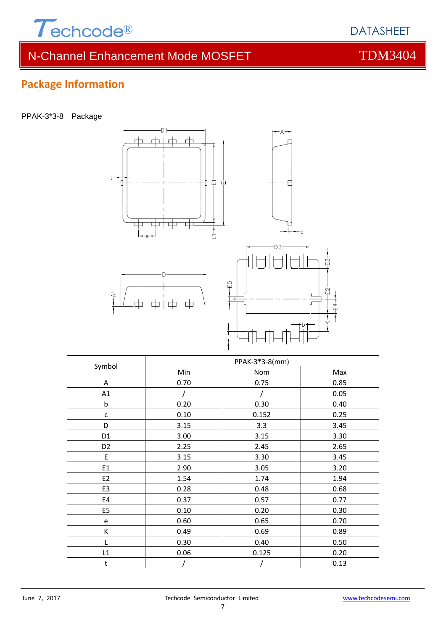

**Package Information**

# N-Channel Enhancement Mode MOSFET THE TDM3404

PPAK-3\*3-8 Package



| Symbol         | PPAK-3*3-8(mm) |       |      |  |  |
|----------------|----------------|-------|------|--|--|
|                | Min            | Nom   | Max  |  |  |
| Α              | 0.70           | 0.75  | 0.85 |  |  |
| A1             |                |       | 0.05 |  |  |
| $\sf b$        | 0.20           | 0.30  | 0.40 |  |  |
| $\mathsf{C}$   | 0.10           | 0.152 | 0.25 |  |  |
| D              | 3.15           | 3.3   | 3.45 |  |  |
| D <sub>1</sub> | 3.00           | 3.15  | 3.30 |  |  |
| D <sub>2</sub> | 2.25           | 2.45  | 2.65 |  |  |
| E              | 3.15           | 3.30  | 3.45 |  |  |
| E1             | 2.90           | 3.05  | 3.20 |  |  |
| E <sub>2</sub> | 1.54           | 1.74  | 1.94 |  |  |
| E3             | 0.28           | 0.48  | 0.68 |  |  |
| E4             | 0.37           | 0.57  | 0.77 |  |  |
| E <sub>5</sub> | 0.10           | 0.20  | 0.30 |  |  |
| e              | 0.60           | 0.65  | 0.70 |  |  |
| К              | 0.49           | 0.69  | 0.89 |  |  |
| L              | 0.30           | 0.40  | 0.50 |  |  |
| L1             | 0.06           | 0.125 | 0.20 |  |  |
| t              |                |       | 0.13 |  |  |

DATASHEET